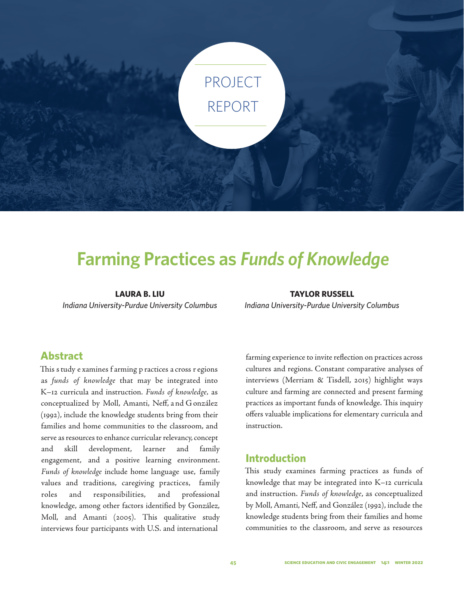

# **Farming Practices as** *Funds of Knowledge*

**LAURA B. LIU** *Indiana University-Purdue University Columbus*

**TAYLOR RUSSELL** *Indiana University-Purdue University Columbus*

## **Abstract**

This s tudy e xamines f arming p ractices a cross r egions as *funds of knowledge* that may be integrated into K–12 curricula and instruction*. Funds of knowledge,* as conceptualized by Moll, Amanti, Neff, a nd G onzález (1992), include the knowledge students bring from their families and home communities to the classroom, and serve as resources to enhance curricular relevancy, concept and skill development, learner and family engagement, and a positive learning environment. *Funds of knowledge* include home language use, family values and traditions, caregiving practices, family roles and responsibilities, and professional knowledge, among other factors identified by González, Moll, and Amanti (2005). This qualitative study interviews four participants with U.S. and international

farming experience to invite reflection on practices across cultures and regions. Constant comparative analyses of interviews (Merriam & Tisdell, 2015) highlight ways culture and farming are connected and present farming practices as important funds of knowledge. This inquiry offers valuable implications for elementary curricula and instruction.

## **Introduction**

This study examines farming practices as funds of knowledge that may be integrated into K–12 curricula and instruction. *Funds of knowledge*, as conceptualized by Moll, Amanti, Neff, and González (1992), include the knowledge students bring from their families and home communities to the classroom, and serve as resources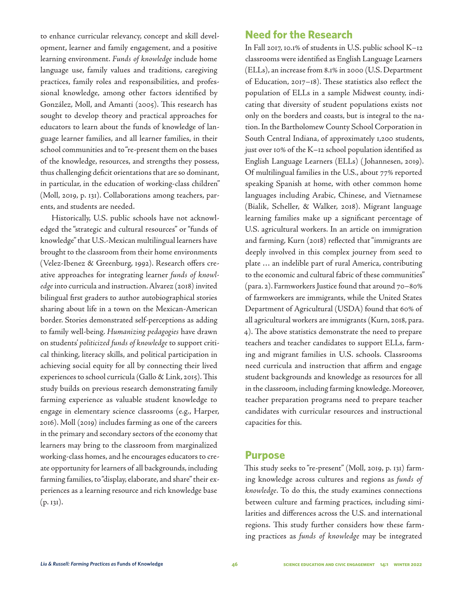to enhance curricular relevancy, concept and skill development, learner and family engagement, and a positive learning environment. *Funds of knowledge* include home language use, family values and traditions, caregiving practices, family roles and responsibilities, and professional knowledge, among other factors identified by González, Moll, and Amanti (2005). This research has sought to develop theory and practical approaches for educators to learn about the funds of knowledge of language learner families, and all learner families, in their school communities and to "re-present them on the bases of the knowledge, resources, and strengths they possess, thus challenging deficit orientations that are so dominant, in particular, in the education of working-class children" (Moll, 2019, p. 131). Collaborations among teachers, parents, and students are needed.

Historically, U.S. public schools have not acknowledged the "strategic and cultural resources" or "funds of knowledge" that U.S.-Mexican multilingual learners have brought to the classroom from their home environments (Velez-Ibenez & Greenburg, 1992). Research offers creative approaches for integrating learner *funds of knowledge* into curricula and instruction. Alvarez (2018) invited bilingual first graders to author autobiographical stories sharing about life in a town on the Mexican-American border. Stories demonstrated self-perceptions as adding to family well-being. *Humanizing pedagogies* have drawn on students' *politicized funds of knowledge* to support critical thinking, literacy skills, and political participation in achieving social equity for all by connecting their lived experiences to school curricula (Gallo & Link, 2015). This study builds on previous research demonstrating family farming experience as valuable student knowledge to engage in elementary science classrooms (e.g., Harper, 2016). Moll (2019) includes farming as one of the careers in the primary and secondary sectors of the economy that learners may bring to the classroom from marginalized working-class homes, and he encourages educators to create opportunity for learners of all backgrounds, including farming families, to "display, elaborate, and share" their experiences as a learning resource and rich knowledge base  $(p. 131).$ 

## **Need for the Research**

In Fall 2017, 10.1% of students in U.S. public school K–12 classrooms were identified as English Language Learners (ELLs), an increase from 8.1% in 2000 (U.S. Department of Education, 2017–18). These statistics also reflect the population of ELLs in a sample Midwest county, indicating that diversity of student populations exists not only on the borders and coasts, but is integral to the nation. In the Bartholomew County School Corporation in South Central Indiana, of approximately 1,200 students, just over 10% of the K–12 school population identified as English Language Learners (ELLs) ( Johannesen, 2019). Of multilingual families in the U.S., about 77% reported speaking Spanish at home, with other common home languages including Arabic, Chinese, and Vietnamese (Bialik, Scheller, & Walker, 2018). Migrant language learning families make up a significant percentage of U.S. agricultural workers. In an article on immigration and farming, Kurn (2018) reflected that "immigrants are deeply involved in this complex journey from seed to plate … an indelible part of rural America, contributing to the economic and cultural fabric of these communities" (para. 2). Farmworkers Justice found that around 70–80% of farmworkers are immigrants, while the United States Department of Agricultural (USDA) found that 60% of all agricultural workers are immigrants (Kurn, 2018, para. 4). The above statistics demonstrate the need to prepare teachers and teacher candidates to support ELLs, farming and migrant families in U.S. schools. Classrooms need curricula and instruction that affirm and engage student backgrounds and knowledge as resources for all in the classroom, including farming knowledge. Moreover, teacher preparation programs need to prepare teacher candidates with curricular resources and instructional capacities for this.

#### **Purpose**

This study seeks to "re-present" (Moll, 2019, p. 131) farming knowledge across cultures and regions as *funds of knowledge*. To do this, the study examines connections between culture and farming practices, including similarities and differences across the U.S. and international regions. This study further considers how these farming practices as *funds of knowledge* may be integrated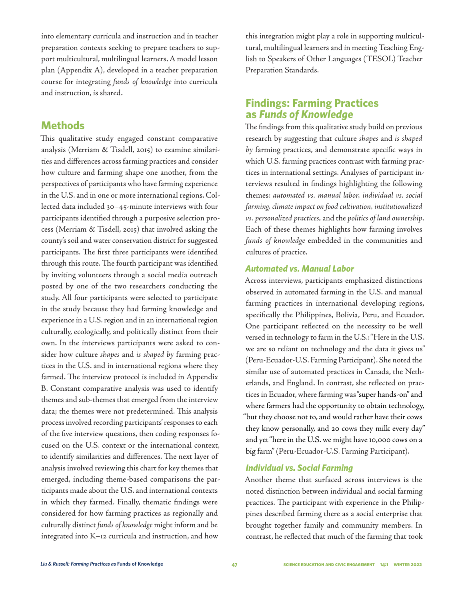into elementary curricula and instruction and in teacher preparation contexts seeking to prepare teachers to support multicultural, multilingual learners. A model lesson plan (Appendix A), developed in a teacher preparation course for integrating *funds of knowledge* into curricula and instruction, is shared.

## **Methods**

This qualitative study engaged constant comparative analysis (Merriam & Tisdell, 2015) to examine similarities and differences across farming practices and consider how culture and farming shape one another, from the perspectives of participants who have farming experience in the U.S. and in one or more international regions. Collected data included 30–45-minute interviews with four participants identified through a purposive selection process (Merriam & Tisdell, 2015) that involved asking the county's soil and water conservation district for suggested participants. The first three participants were identified through this route. The fourth participant was identified by inviting volunteers through a social media outreach posted by one of the two researchers conducting the study. All four participants were selected to participate in the study because they had farming knowledge and experience in a U.S. region and in an international region culturally, ecologically, and politically distinct from their own. In the interviews participants were asked to consider how culture *shapes* and *is shaped by* farming practices in the U.S. and in international regions where they farmed. The interview protocol is included in Appendix B. Constant comparative analysis was used to identify themes and sub-themes that emerged from the interview data; the themes were not predetermined. This analysis process involved recording participants' responses to each of the five interview questions, then coding responses focused on the U.S. context or the international context, to identify similarities and differences. The next layer of analysis involved reviewing this chart for key themes that emerged, including theme-based comparisons the participants made about the U.S. and international contexts in which they farmed. Finally, thematic findings were considered for how farming practices as regionally and culturally distinct *funds of knowledge* might inform and be integrated into K–12 curricula and instruction, and how

this integration might play a role in supporting multicultural, multilingual learners and in meeting Teaching English to Speakers of Other Languages (TESOL) Teacher Preparation Standards.

## **Findings: Farming Practices as** *Funds of Knowledge*

The findings from this qualitative study build on previous research by suggesting that culture *shapes* and *is shaped by* farming practices, and demonstrate specific ways in which U.S. farming practices contrast with farming practices in international settings. Analyses of participant interviews resulted in findings highlighting the following themes: *automated vs. manual labor, individual vs. social farming, climate impact on food cultivation, institutionalized vs. personalized practices,* and the *politics of land ownership*. Each of these themes highlights how farming involves *funds of knowledge* embedded in the communities and cultures of practice.

## *Automated vs. Manual Labor*

Across interviews, participants emphasized distinctions observed in automated farming in the U.S. and manual farming practices in international developing regions, specifically the Philippines, Bolivia, Peru, and Ecuador. One participant reflected on the necessity to be well versed in technology to farm in the U.S.: "Here in the U.S. we are so reliant on technology and the data it gives us" (Peru-Ecuador-U.S. Farming Participant). She noted the similar use of automated practices in Canada, the Netherlands, and England. In contrast, she reflected on practices in Ecuador, where farming was "super hands-on" and where farmers had the opportunity to obtain technology, "but they choose not to, and would rather have their cows they know personally, and 20 cows they milk every day" and yet "here in the U.S. we might have 10,000 cows on a big farm" (Peru-Ecuador-U.S. Farming Participant).

## *Individual vs. Social Farming*

Another theme that surfaced across interviews is the noted distinction between individual and social farming practices. The participant with experience in the Philippines described farming there as a social enterprise that brought together family and community members. In contrast, he reflected that much of the farming that took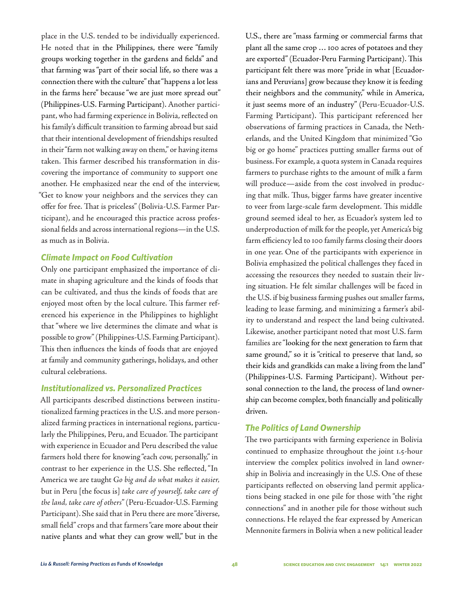place in the U.S. tended to be individually experienced. He noted that in the Philippines, there were "family groups working together in the gardens and fields" and that farming was "part of their social life, so there was a connection there with the culture" that "happens a lot less in the farms here" because "we are just more spread out" (Philippines-U.S. Farming Participant). Another participant, who had farming experience in Bolivia, reflected on his family's difficult transition to farming abroad but said that their intentional development of friendships resulted in their "farm not walking away on them," or having items taken. This farmer described his transformation in discovering the importance of community to support one another. He emphasized near the end of the interview, "Get to know your neighbors and the services they can offer for free. That is priceless" (Bolivia-U.S. Farmer Participant), and he encouraged this practice across professional fields and across international regions—in the U.S. as much as in Bolivia.

#### *Climate Impact on Food Cultivation*

Only one participant emphasized the importance of climate in shaping agriculture and the kinds of foods that can be cultivated, and thus the kinds of foods that are enjoyed most often by the local culture. This farmer referenced his experience in the Philippines to highlight that "where we live determines the climate and what is possible to grow" (Philippines-U.S. Farming Participant). This then influences the kinds of foods that are enjoyed at family and community gatherings, holidays, and other cultural celebrations.

## *Institutionalized vs. Personalized Practices*

All participants described distinctions between institutionalized farming practices in the U.S. and more personalized farming practices in international regions, particularly the Philippines, Peru, and Ecuador. The participant with experience in Ecuador and Peru described the value farmers hold there for knowing "each cow, personally," in contrast to her experience in the U.S. She reflected, "In America we are taught *Go big and do what makes it easier,*  but in Peru [the focus is] *take care of yourself, take care of the land, take care of others*" (Peru-Ecuador-U.S. Farming Participant). She said that in Peru there are more "diverse, small field" crops and that farmers "care more about their native plants and what they can grow well," but in the

U.S., there are "mass farming or commercial farms that plant all the same crop … 100 acres of potatoes and they are exported" (Ecuador-Peru Farming Participant). This participant felt there was more "pride in what [Ecuadorians and Peruvians] grow because they know it is feeding their neighbors and the community," while in America, it just seems more of an industry" (Peru-Ecuador-U.S. Farming Participant). This participant referenced her observations of farming practices in Canada, the Netherlands, and the United Kingdom that minimized "Go big or go home" practices putting smaller farms out of business. For example, a quota system in Canada requires farmers to purchase rights to the amount of milk a farm will produce—aside from the cost involved in producing that milk. Thus, bigger farms have greater incentive to veer from large-scale farm development. This middle ground seemed ideal to her, as Ecuador's system led to underproduction of milk for the people, yet America's big farm efficiency led to 100 family farms closing their doors in one year. One of the participants with experience in Bolivia emphasized the political challenges they faced in accessing the resources they needed to sustain their living situation. He felt similar challenges will be faced in the U.S. if big business farming pushes out smaller farms, leading to lease farming, and minimizing a farmer's ability to understand and respect the land being cultivated. Likewise, another participant noted that most U.S. farm families are "looking for the next generation to farm that same ground," so it is "critical to preserve that land, so their kids and grandkids can make a living from the land" (Philippines-U.S. Farming Participant). Without personal connection to the land, the process of land ownership can become complex, both financially and politically driven.

#### *The Politics of Land Ownership*

The two participants with farming experience in Bolivia continued to emphasize throughout the joint 1.5-hour interview the complex politics involved in land ownership in Bolivia and increasingly in the U.S. One of these participants reflected on observing land permit applications being stacked in one pile for those with "the right connections" and in another pile for those without such connections. He relayed the fear expressed by American Mennonite farmers in Bolivia when a new political leader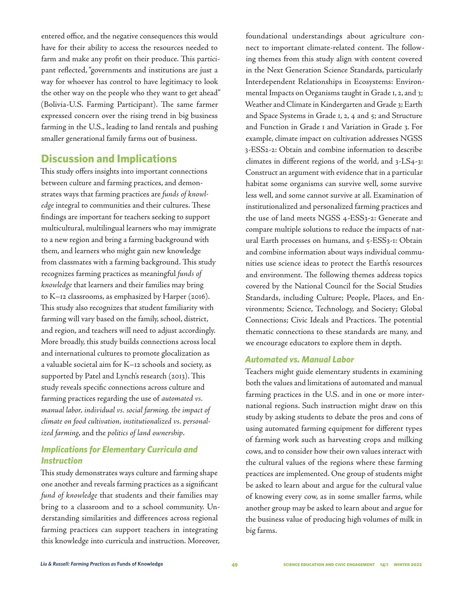entered office, and the negative consequences this would have for their ability to access the resources needed to farm and make any profit on their produce. This participant reflected, "governments and institutions are just a way for whoever has control to have legitimacy to look the other way on the people who they want to get ahead" (Bolivia-U.S. Farming Participant). The same farmer expressed concern over the rising trend in big business farming in the U.S., leading to land rentals and pushing smaller generational family farms out of business.

## **Discussion and Implications**

This study offers insights into important connections between culture and farming practices, and demonstrates ways that farming practices are *funds of knowledge* integral to communities and their cultures. These findings are important for teachers seeking to support multicultural, multilingual learners who may immigrate to a new region and bring a farming background with them, and learners who might gain new knowledge from classmates with a farming background. This study recognizes farming practices as meaningful *funds of knowledge* that learners and their families may bring to K–12 classrooms, as emphasized by Harper (2016). This study also recognizes that student familiarity with farming will vary based on the family, school, district, and region, and teachers will need to adjust accordingly. More broadly, this study builds connections across local and international cultures to promote glocalization as a valuable societal aim for K–12 schools and society, as supported by Patel and Lynch's research (2013). This study reveals specific connections across culture and farming practices regarding the use of *automated vs. manual labor, individual vs. social farming, the impact of climate on food cultivation, institutionalized vs. personalized farming*, and the *politics of land ownership*.

## *Implications for Elementary Curricula and Instruction*

This study demonstrates ways culture and farming shape one another and reveals farming practices as a significant *fund of knowledge* that students and their families may bring to a classroom and to a school community. Understanding similarities and differences across regional farming practices can support teachers in integrating this knowledge into curricula and instruction. Moreover,

foundational understandings about agriculture connect to important climate-related content. The following themes from this study align with content covered in the Next Generation Science Standards, particularly Interdependent Relationships in Ecosystems: Environmental Impacts on Organisms taught in Grade 1, 2, and 3; Weather and Climate in Kindergarten and Grade 3; Earth and Space Systems in Grade 1, 2, 4 and 5; and Structure and Function in Grade 1 and Variation in Grade 3. For example, climate impact on cultivation addresses NGSS 3-ESS2-2: Obtain and combine information to describe climates in different regions of the world, and 3-LS4-3: Construct an argument with evidence that in a particular habitat some organisms can survive well, some survive less well, and some cannot survive at all. Examination of institutionalized and personalized farming practices and the use of land meets NGSS 4-ESS3-2: Generate and compare multiple solutions to reduce the impacts of natural Earth processes on humans, and 5-ESS3-1: Obtain and combine information about ways individual communities use science ideas to protect the Earth's resources and environment. The following themes address topics covered by the National Council for the Social Studies Standards, including Culture; People, Places, and Environments; Science, Technology, and Society; Global Connections; Civic Ideals and Practices. The potential thematic connections to these standards are many, and we encourage educators to explore them in depth.

## *Automated vs. Manual Labor*

Teachers might guide elementary students in examining both the values and limitations of automated and manual farming practices in the U.S. and in one or more international regions. Such instruction might draw on this study by asking students to debate the pros and cons of using automated farming equipment for different types of farming work such as harvesting crops and milking cows, and to consider how their own values interact with the cultural values of the regions where these farming practices are implemented. One group of students might be asked to learn about and argue for the cultural value of knowing every cow, as in some smaller farms, while another group may be asked to learn about and argue for the business value of producing high volumes of milk in big farms.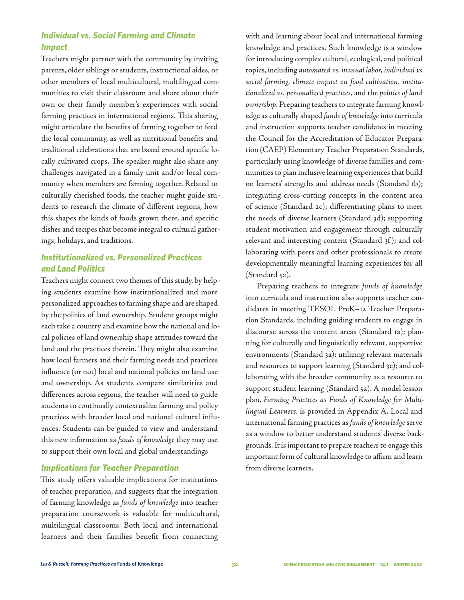## *Individual vs. Social Farming and Climate Impact*

Teachers might partner with the community by inviting parents, older siblings or students, instructional aides, or other members of local multicultural, multilingual communities to visit their classroom and share about their own or their family member's experiences with social farming practices in international regions. This sharing might articulate the benefits of farming together to feed the local community, as well as nutritional benefits and traditional celebrations that are based around specific locally cultivated crops. The speaker might also share any challenges navigated in a family unit and/or local community when members are farming together. Related to culturally cherished foods, the teacher might guide students to research the climate of different regions, how this shapes the kinds of foods grown there, and specific dishes and recipes that become integral to cultural gatherings, holidays, and traditions.

## *Institutionalized vs. Personalized Practices and Land Politics*

Teachers might connect two themes of this study, by helping students examine how institutionalized and more personalized approaches to farming shape and are shaped by the politics of land ownership. Student groups might each take a country and examine how the national and local policies of land ownership shape attitudes toward the land and the practices therein. They might also examine how local farmers and their farming needs and practices influence (or not) local and national policies on land use and ownership. As students compare similarities and differences across regions, the teacher will need to guide students to continually contextualize farming and policy practices with broader local and national cultural influences. Students can be guided to view and understand this new information as *funds of knowledge* they may use to support their own local and global understandings.

## *Implications for Teacher Preparation*

This study offers valuable implications for institutions of teacher preparation, and suggests that the integration of farming knowledge as *funds of knowledge* into teacher preparation coursework is valuable for multicultural, multilingual classrooms. Both local and international learners and their families benefit from connecting

with and learning about local and international farming knowledge and practices. Such knowledge is a window for introducing complex cultural, ecological, and political topics, including *automated vs. manual labor, individual vs. social farming, climate impact on food cultivation, institutionalized vs. personalized practices,* and the *politics of land ownership*. Preparing teachers to integrate farming knowledge as culturally shaped *funds of knowledge* into curricula and instruction supports teacher candidates in meeting the Council for the Accreditation of Educator Preparation (CAEP) Elementary Teacher Preparation Standards, particularly using knowledge of diverse families and communities to plan inclusive learning experiences that build on learners' strengths and address needs (Standard 1b); integrating cross-cutting concepts in the content area of science (Standard 2c); differentiating plans to meet the needs of diverse learners (Standard 3d); supporting student motivation and engagement through culturally relevant and interesting content (Standard 3f); and collaborating with peers and other professionals to create developmentally meaningful learning experiences for all (Standard 5a).

Preparing teachers to integrate *funds of knowledge* into curricula and instruction also supports teacher candidates in meeting TESOL PreK–12 Teacher Preparation Standards, including guiding students to engage in discourse across the content areas (Standard 1a); planning for culturally and linguistically relevant, supportive environments (Standard 3a); utilizing relevant materials and resources to support learning (Standard 3e); and collaborating with the broader community as a resource to support student learning (Standard 5a). A model lesson plan, *Farming Practices as Funds of Knowledge for Multilingual Learners*, is provided in Appendix A. Local and international farming practices as *funds of knowledge* serve as a window to better understand students' diverse backgrounds. It is important to prepare teachers to engage this important form of cultural knowledge to affirm and learn from diverse learners.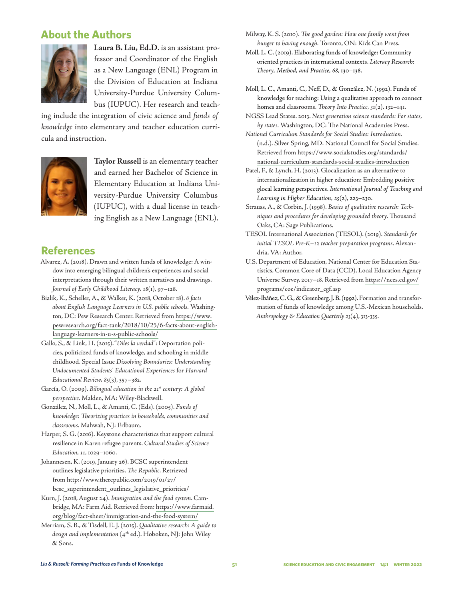## **About the Authors**



**Laura B. Liu, Ed.D**. is an assistant professor and Coordinator of the English as a New Language (ENL) Program in the Division of Education at Indiana University-Purdue University Columbus (IUPUC). Her research and teach-

ing include the integration of civic science and *funds of knowledge* into elementary and teacher education curricula and instruction.



**Taylor Russell** is an elementary teacher and earned her Bachelor of Science in Elementary Education at Indiana University-Purdue University Columbus (IUPUC), with a dual license in teaching English as a New Language (ENL).

## **References**

- Alvarez, A. (2018). Drawn and written funds of knowledge: A window into emerging bilingual children's experiences and social interpretations through their written narratives and drawings. *Journal of Early Childhood Literacy, 18*(1), 97–128.
- Bialik, K., Scheller, A., & Walker, K. (2018, October 18). *6 facts about English Language Learners in U.S. public schools.* Washington, DC: Pew Research Center. Retrieved from https://www. pewresearch.org/fact-tank/2018/10/25/6-facts-about-englishlanguage-learners-in-u-s-public-schools/
- Gallo, S., & Link, H. (2015). "*Diles la verdad*": Deportation policies, politicized funds of knowledge, and schooling in middle childhood. Special Issue *Dissolving Boundaries: Understanding Undocumented Students' Educational Experiences* for *Harvard Educational Review, 85*(3), 357–382.
- García, O. (2009). *Bilingual education in the 21st century: A global perspective.* Malden, MA: Wiley-Blackwell.
- González, N., Moll, L., & Amanti, C. (Eds). (2005). *Funds of knowledge: Theorizing practices in households, communities and classrooms*. Mahwah, NJ: Erlbaum.
- Harper, S. G. (2016). Keystone characteristics that support cultural resilience in Karen refugee parents. *Cultural Studies of Science Education, 11*, 1029–1060.
- Johannesen, K. (2019, January 26). BCSC superintendent outlines legislative priorities. *The Republic*. Retrieved from http://www.therepublic.com/2019/01/27/ bcsc\_superintendent\_outlines\_legislative\_priorities/
- Kurn, J. (2018, August 24). *Immigration and the food system*. Cambridge, MA: Farm Aid. Retrieved from: https://www.farmaid. org/blog/fact-sheet/immigration-and-the-food-system/
- Merriam, S. B., & Tisdell, E. J. (2015). *Qualitative research: A guide to*  design and implementation (4<sup>th</sup> ed.). Hoboken, NJ: John Wiley & Sons.

Milway, K. S. (2010). *The good garden: How one family went from hunger to having enough.* Toronto, ON: Kids Can Press.

- Moll, L. C. (2019). Elaborating funds of knowledge: Community oriented practices in international contexts. *Literacy Research: Theory, Method, and Practice, 68*, 130–138.
- Moll, L. C., Amanti, C., Neff, D., & González, N. (1992). Funds of knowledge for teaching: Using a qualitative approach to connect homes and classrooms. *Theory Into Practice, 31*(2), 132–141.

NGSS Lead States. 2013. *Next generation science standards: For states, by states.* Washington, DC: The National Academies Press.

*National Curriculum Standards for Social Studies: Introduction.*  (n.d.). Silver Spring, MD: National Council for Social Studies*.* Retrieved from https://www.socialstudies.org/standards/ national-curriculum-standards-social-studies-introduction

Patel, F., & Lynch, H. (2013). Glocalization as an alternative to internationalization in higher education: Embedding positive glocal learning perspectives. *International Journal of Teaching and Learning in Higher Education, 25*(2), 223–230.

- Strauss, A., & Corbin, J. (1998). *Basics of qualitative research: Techniques and procedures for developing grounded theory*. Thousand Oaks, CA: Sage Publications.
- TESOL International Association (TESOL). (2019). *Standards for initial TESOL Pre-K–12 teacher preparation programs*. Alexandria, VA: Author.
- U.S. Department of Education, National Center for Education Statistics, Common Core of Data (CCD), Local Education Agency Universe Survey, 2017–18. Retrieved from https://nces.ed.gov/ programs/coe/indicator\_cgf.asp
- Vélez-Ibáñez, C. G., & Greenberg, J. B. (1992). Formation and transformation of funds of knowledge among U.S.-Mexican households. *Anthropology & Education Quarterly 23*(4), 313-335.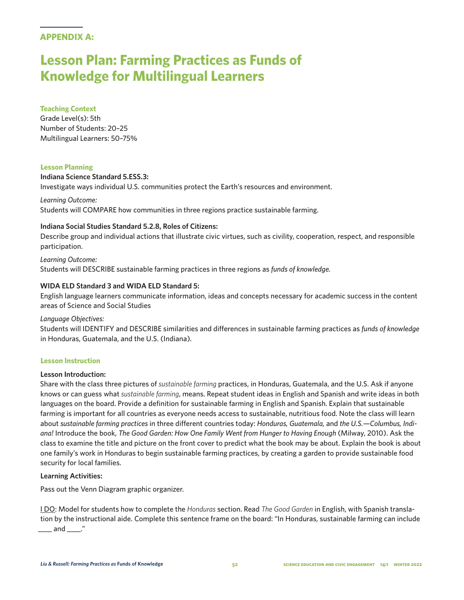## **APPENDIX A:**

## **Lesson Plan: Farming Practices as Funds of Knowledge for Multilingual Learners**

#### **Teaching Context**

Grade Level(s): 5th Number of Students: 20–25 Multilingual Learners: 50–75%

#### **Lesson Planning**

#### **Indiana Science Standard 5.ESS.3:**

Investigate ways individual U.S. communities protect the Earth's resources and environment.

*Learning Outcome:*  Students will COMPARE how communities in three regions practice sustainable farming.

#### **Indiana Social Studies Standard 5.2.8, Roles of Citizens:**

Describe group and individual actions that illustrate civic virtues, such as civility, cooperation, respect, and responsible participation.

*Learning Outcome:*  Students will DESCRIBE sustainable farming practices in three regions as *funds of knowledge.* 

## **WIDA ELD Standard 3 and WIDA ELD Standard 5:**

English language learners communicate information, ideas and concepts necessary for academic success in the content areas of Science and Social Studies

#### *Language Objectives:*

Students will IDENTIFY and DESCRIBE similarities and differences in sustainable farming practices as *funds of knowledge* in Honduras, Guatemala, and the U.S. (Indiana).

#### **Lesson Instruction**

#### **Lesson Introduction:**

Share with the class three pictures of *sustainable farming* practices, in Honduras, Guatemala, and the U.S. Ask if anyone knows or can guess what *sustainable farming*, means. Repeat student ideas in English and Spanish and write ideas in both languages on the board. Provide a definition for sustainable farming in English and Spanish. Explain that sustainable farming is important for all countries as everyone needs access to sustainable, nutritious food. Note the class will learn about *sustainable farming practices* in three different countries today: *Honduras, Guatemala,* and *the U.S.—Columbus, Indiana!* Introduce the book, *The Good Garden: How One Family Went from Hunger to Having Enough* (Milway, 2010). Ask the class to examine the title and picture on the front cover to predict what the book may be about. Explain the book is about one family's work in Honduras to begin sustainable farming practices, by creating a garden to provide sustainable food security for local families.

#### **Learning Activities:**

Pass out the Venn Diagram graphic organizer.

I DO: Model for students how to complete the *Honduras* section. Read *The Good Garden* in English, with Spanish translation by the instructional aide. Complete this sentence frame on the board: "In Honduras, sustainable farming can include  $\_\_$  and  $\_\_$ ."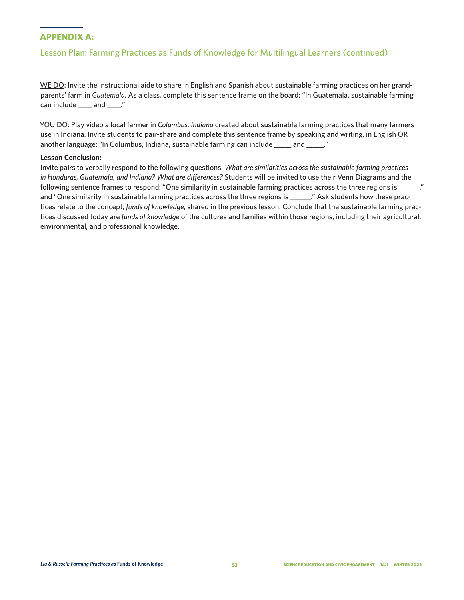## **APPENDIX A:**

## Lesson Plan: Farming Practices as Funds of Knowledge for Multilingual Learners (continued)

WE DO: Invite the instructional aide to share in English and Spanish about sustainable farming practices on her grandparents' farm in *Guatemala*. As a class, complete this sentence frame on the board: "In Guatemala, sustainable farming can include \_\_\_\_ and \_\_\_\_."

YOU DO: Play video a local farmer in *Columbus, Indiana* created about sustainable farming practices that many farmers use in Indiana. Invite students to pair-share and complete this sentence frame by speaking and writing, in English OR another language: "In Columbus, Indiana, sustainable farming can include \_\_\_\_\_ and \_\_\_\_\_."

#### **Lesson Conclusion:**

Invite pairs to verbally respond to the following questions: *What are similarities across the sustainable farming practices in Honduras, Guatemala, and Indiana? What are differences?* Students will be invited to use their Venn Diagrams and the following sentence frames to respond: "One similarity in sustainable farming practices across the three regions is and "One similarity in sustainable farming practices across the three regions is \_\_\_\_\_\_." Ask students how these practices relate to the concept, *funds of knowledge*, shared in the previous lesson. Conclude that the sustainable farming practices discussed today are *funds of knowledge* of the cultures and families within those regions, including their agricultural, environmental, and professional knowledge.